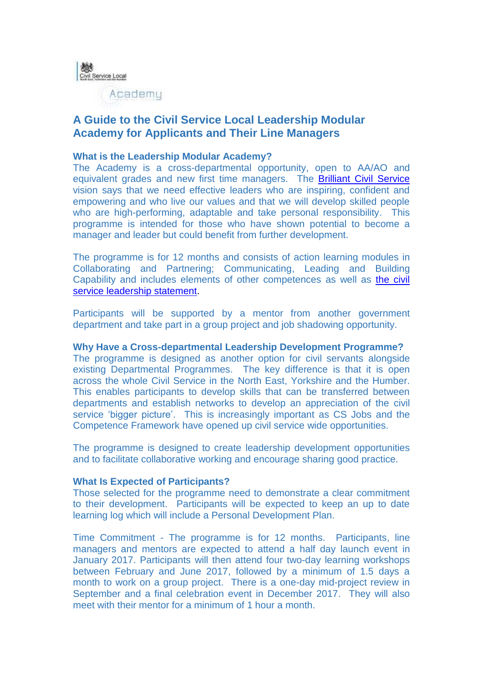

# **A Guide to the Civil Service Local Leadership Modular Academy for Applicants and Their Line Managers**

## **What is the Leadership Modular Academy?**

The Academy is a cross-departmental opportunity, open to AA/AO and equivalent grades and new first time managers. The [Brilliant Civil Service](https://civilservice.blog.gov.uk/2016/06/16/our-vision-for-a-brilliant-civil-service-and-what-it-means-for-you/) vision says that we need effective leaders who are inspiring, confident and empowering and who live our values and that we will develop skilled people who are high-performing, adaptable and take personal responsibility. This programme is intended for those who have shown potential to become a manager and leader but could benefit from further development.

The programme is for 12 months and consists of action learning modules in Collaborating and Partnering; Communicating, Leading and Building Capability and includes elements of other competences as well as [the civil](https://www.gov.uk/government/publications/civil-service-leadership-statement)  [service leadership statement.](https://www.gov.uk/government/publications/civil-service-leadership-statement)

Participants will be supported by a mentor from another government department and take part in a group project and job shadowing opportunity.

### **Why Have a Cross-departmental Leadership Development Programme?**

The programme is designed as another option for civil servants alongside existing Departmental Programmes. The key difference is that it is open across the whole Civil Service in the North East, Yorkshire and the Humber. This enables participants to develop skills that can be transferred between departments and establish networks to develop an appreciation of the civil service 'bigger picture'. This is increasingly important as CS Jobs and the Competence Framework have opened up civil service wide opportunities.

The programme is designed to create leadership development opportunities and to facilitate collaborative working and encourage sharing good practice.

### **What Is Expected of Participants?**

Those selected for the programme need to demonstrate a clear commitment to their development. Participants will be expected to keep an up to date learning log which will include a Personal Development Plan.

Time Commitment - The programme is for 12 months. Participants, line managers and mentors are expected to attend a half day launch event in January 2017. Participants will then attend four two-day learning workshops between February and June 2017, followed by a minimum of 1.5 days a month to work on a group project. There is a one-day mid-project review in September and a final celebration event in December 2017. They will also meet with their mentor for a minimum of 1 hour a month.